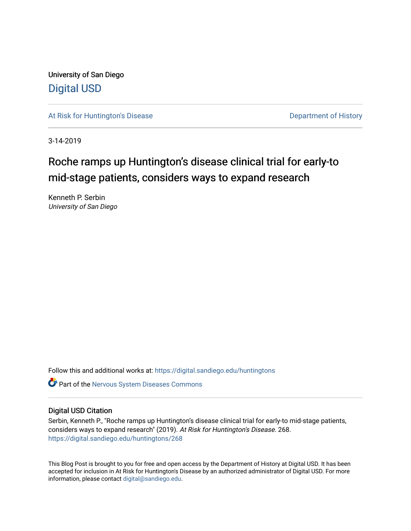University of San Diego [Digital USD](https://digital.sandiego.edu/)

[At Risk for Huntington's Disease](https://digital.sandiego.edu/huntingtons) **Department of History** Department of History

3-14-2019

## Roche ramps up Huntington's disease clinical trial for early-to mid-stage patients, considers ways to expand research

Kenneth P. Serbin University of San Diego

Follow this and additional works at: [https://digital.sandiego.edu/huntingtons](https://digital.sandiego.edu/huntingtons?utm_source=digital.sandiego.edu%2Fhuntingtons%2F268&utm_medium=PDF&utm_campaign=PDFCoverPages)

**C** Part of the [Nervous System Diseases Commons](http://network.bepress.com/hgg/discipline/928?utm_source=digital.sandiego.edu%2Fhuntingtons%2F268&utm_medium=PDF&utm_campaign=PDFCoverPages)

## Digital USD Citation

Serbin, Kenneth P., "Roche ramps up Huntington's disease clinical trial for early-to mid-stage patients, considers ways to expand research" (2019). At Risk for Huntington's Disease. 268. [https://digital.sandiego.edu/huntingtons/268](https://digital.sandiego.edu/huntingtons/268?utm_source=digital.sandiego.edu%2Fhuntingtons%2F268&utm_medium=PDF&utm_campaign=PDFCoverPages)

This Blog Post is brought to you for free and open access by the Department of History at Digital USD. It has been accepted for inclusion in At Risk for Huntington's Disease by an authorized administrator of Digital USD. For more information, please contact [digital@sandiego.edu.](mailto:digital@sandiego.edu)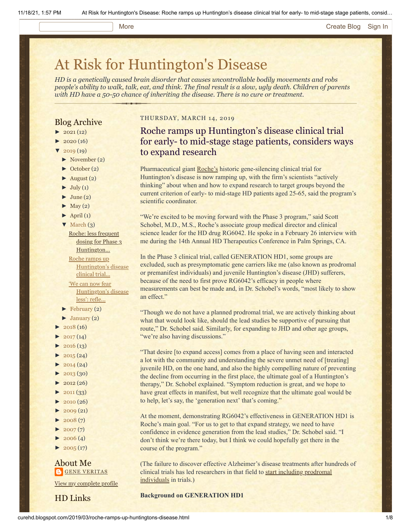#### More **[Create Blog](https://www.blogger.com/home#create) [Sign In](https://www.blogger.com/)**

# [At Risk for Huntington's Disease](http://curehd.blogspot.com/)

*HD is a genetically caused brain disorder that causes uncontrollable bodily movements and robs people's ability to walk, talk, eat, and think. The final result is a slow, ugly death. Children of parents with HD have a 50-50 chance of inheriting the disease. There is no cure or treatment.*

## Blog Archive

- $\blacktriangleright$  [2021](http://curehd.blogspot.com/2021/) (12)
- $2020(16)$  $2020(16)$
- $2019(19)$  $2019(19)$
- [►](javascript:void(0)) [November](http://curehd.blogspot.com/2019/11/) (2)
- [►](javascript:void(0)) [October](http://curehd.blogspot.com/2019/10/) (2)
- $\blacktriangleright$  [August](http://curehd.blogspot.com/2019/08/) (2)
- $\blacktriangleright$  [July](http://curehd.blogspot.com/2019/07/) (1)
- $\blacktriangleright$  [June](http://curehd.blogspot.com/2019/06/) (2)
- $\blacktriangleright$  [May](http://curehd.blogspot.com/2019/05/) (2)
- $\blacktriangleright$  [April](http://curehd.blogspot.com/2019/04/) (1)
- $\nabla$  [March](http://curehd.blogspot.com/2019/03/)  $(3)$

Roche: less frequent dosing for Phase 3 [Huntington...](http://curehd.blogspot.com/2019/03/roche-less-frequent-dosing-for-phase-3.html) Roche ramps up

[Huntington's](http://curehd.blogspot.com/2019/03/roche-ramps-up-huntingtons-disease.html) disease clinical trial... 'We can now fear

[Huntington's](http://curehd.blogspot.com/2019/03/we-can-now-fear-huntingtons-disease.html) disease less': refle...

- [►](javascript:void(0)) [February](http://curehd.blogspot.com/2019/02/) (2)
- $\blacktriangleright$  [January](http://curehd.blogspot.com/2019/01/) (2)
- [►](javascript:void(0)) [2018](http://curehd.blogspot.com/2018/) (16)
- $\blacktriangleright$  [2017](http://curehd.blogspot.com/2017/) (14)
- $\blacktriangleright$  [2016](http://curehd.blogspot.com/2016/) (13)
- $2015(24)$  $2015(24)$
- $\blacktriangleright$  [2014](http://curehd.blogspot.com/2014/) (24)
- $\blacktriangleright$  [2013](http://curehd.blogspot.com/2013/) (30)
- $\blacktriangleright$  [2012](http://curehd.blogspot.com/2012/) (26)
- $\blacktriangleright$  [2011](http://curehd.blogspot.com/2011/) (33)
- $\blacktriangleright$  [2010](http://curehd.blogspot.com/2010/) (26)
- $\blacktriangleright$  [2009](http://curehd.blogspot.com/2009/) (21)
- $\blacktriangleright$  [2008](http://curehd.blogspot.com/2008/) $(7)$
- $\blacktriangleright$  [2007](http://curehd.blogspot.com/2007/) $(7)$
- $2006(4)$  $2006(4)$
- $\blacktriangleright$  [2005](http://curehd.blogspot.com/2005/) (17)

### About Me **GENE [VERITAS](https://www.blogger.com/profile/10911736205741688185)**

View my [complete](https://www.blogger.com/profile/10911736205741688185) profile

HD Links

#### THURSDAY, MARCH 14, 2019

Roche ramps up Huntington's disease clinical trial for early- to mid-stage stage patients, considers ways to expand research

Pharmaceutical giant [Roche's](https://www.roche.com/) historic gene-silencing clinical trial for Huntington's disease is now ramping up, with the firm's scientists "actively thinking" about when and how to expand research to target groups beyond the current criterion of early- to mid-stage HD patients aged 25-65, said the program's scientific coordinator.

"We're excited to be moving forward with the Phase 3 program," said Scott Schobel, M.D., M.S., Roche's associate group medical director and clinical science leader for the HD drug RG6042. He spoke in a February 26 interview with me during the 14th Annual HD Therapeutics Conference in Palm Springs, CA.

In the Phase 3 clinical trial, called GENERATION HD1, some groups are excluded, such as presymptomatic gene carriers like me (also known as prodromal or premanifest individuals) and juvenile Huntington's disease (JHD) sufferers, because of the need to first prove RG6042's efficacy in people where measurements can best be made and, in Dr. Schobel's words, "most likely to show an effect."

"Though we do not have a planned prodromal trial, we are actively thinking about what that would look like, should the lead studies be supportive of pursuing that route," Dr. Schobel said. Similarly, for expanding to JHD and other age groups, "we're also having discussions."

"That desire [to expand access] comes from a place of having seen and interacted a lot with the community and understanding the severe unmet need of [treating] juvenile HD, on the one hand, and also the highly compelling nature of preventing the decline from occurring in the first place, the ultimate goal of a Huntington's therapy," Dr. Schobel explained. "Symptom reduction is great, and we hope to have great effects in manifest, but well recognize that the ultimate goal would be to help, let's say, the 'generation next' that's coming."

At the moment, demonstrating RG6042's effectiveness in GENERATION HD1 is Roche's main goal. "For us to get to that expand strategy, we need to have confidence in evidence generation from the lead studies," Dr. Schobel said. "I don't think we're there today, but I think we could hopefully get there in the course of the program."

(The failure to discover effective Alzheimer's disease treatments after hundreds of [clinical trials has led researchers in that field to start including prodromal](http://www.cambridgecognition.com/blog/entry/the-challenge-of-detecting-prodromal-alzheimers-disease-for-clinical-trials) individuals in trials.)

#### **Background on GENERATION HD1**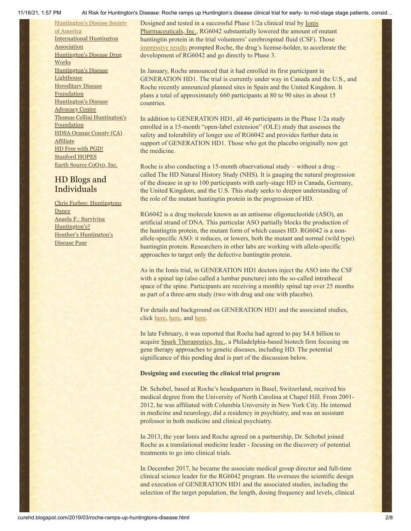[Huntington's](http://www.hdsa.org/) Disease Society of America [International](http://www.huntington-assoc.com/) Huntington **Association** [Huntington's](http://hddrugworks.org/) Disease Drug **Works** [Huntington's](http://www.hdlighthouse.org/) Disease **Lighthouse** [Hereditary](http://www.hdfoundation.org/) Disease **Foundation** [Huntington's](http://www.hdac.org/) Disease **Advocacy Center** Thomas [Cellini Huntington's](http://www.ourtchfoundation.org/) **Foundation** HDSA Orange County (CA) **[Affiliate](http://www.hdsaoc.org/)** HD Free with [PGD!](http://www.hdfreewithpgd.com/) [Stanford](http://www.stanford.edu/group/hopes/) HOPES Earth Source [CoQ10,](http://www.escoq10.com/) Inc.

## HD Blogs and Individuals

Chris Furbee: [Huntingtons](http://www.huntingtonsdance.org/) Dance Angela F.: Surviving [Huntington's?](http://survivinghuntingtons.blogspot.com/) Heather's [Huntington's](http://heatherdugdale.angelfire.com/) Disease Page

11/18/21, 1:57 PM At Risk for Huntington's Disease: Roche ramps up Huntington's disease clinical trial for early- to mid-stage stage patients, consid…

[Designed and tested in a successful Phase 1/2a clinical trial by Ionis](https://www.ionispharma.com/) Pharmaceuticals, Inc.[,](https://www.ionispharma.com/) RG6042 substantially lowered the amount of mutant huntingtin protein in the trial volunteers' cerebrospinal fluid (CSF). Those [impressive results](http://curehd.blogspot.com/2018/03/ionis-phase-12a-clinical-trial-data.html) prompted Roche, the drug's license-holder, to accelerate the development of RG6042 and go directly to Phase 3.

In January, Roche announced that it had enrolled its first participant in GENERATION HD1. The trial is currently under way in Canada and the U.S., and Roche recently announced planned sites in Spain and the United Kingdom. It plans a total of approximately 660 participants at 80 to 90 sites in about 15 countries.

In addition to GENERATION HD1, all 46 participants in the Phase 1/2a study enrolled in a 15-month "open-label extension" (OLE) study that assesses the safety and tolerability of longer use of RG6042 and provides further data in support of GENERATION HD1. Those who got the placebo originally now get the medicine.

Roche is also conducting a 15-month observational study – without a drug – called The HD Natural History Study (NHS). It is gauging the natural progression of the disease in up to 100 participants with early-stage HD in Canada, Germany, the United Kingdom, and the U.S. This study seeks to deepen understanding of the role of the mutant huntingtin protein in the progression of HD.

RG6042 is a drug molecule known as an antisense oligonucleotide (ASO), an artificial strand of DNA. This particular ASO partially blocks the production of the huntingtin protein, the mutant form of which causes HD. RG6042 is a nonallele-specific ASO: it reduces, or lowers, both the mutant and normal (wild type) huntingtin protein. Researchers in other labs are working with allele-specific approaches to target only the defective huntingtin protein.

As in the Ionis trial, in GENERATION HD1 doctors inject the ASO into the CSF with a spinal tap (also called a lumbar puncture) into the so-called intrathecal space of the spine. Participants are receiving a monthly spinal tap over 25 months as part of a three-arm study (two with drug and one with placebo).

For details and background on GENERATION HD1 and the associated studies, click [here](http://curehd.blogspot.com/2018/03/roche-gears-up-for-pivotal-phase-3.html), [here,](http://curehd.blogspot.com/2018/09/roche-phase-3-clinical-trial-for.html) and [here.](http://curehd.blogspot.com/2018/09/unpacking-generation-hd1-roche-phase-3.html)

In late February, it was reported that Roche had agreed to pay \$4.8 billion to acquire [Spark Therapeutics, Inc.,](http://sparktx.com/) a Philadelphia-based biotech firm focusing on gene therapy approaches to genetic diseases, including HD. The potential significance of this pending deal is part of the discussion below.

## **Designing and executing the clinical trial program**

Dr. Schobel, based at Roche's headquarters in Basel, Switzerland, received his medical degree from the University of North Carolina at Chapel Hill. From 2001- 2012, he was affiliated with Columbia University in New York City. He interned in medicine and neurology, did a residency in psychiatry, and was an assistant professor in both medicine and clinical psychiatry.

In 2013, the year Ionis and Roche agreed on a partnership, Dr. Schobel joined Roche as a translational medicine leader - focusing on the discovery of potential treatments to go into clinical trials.

In December 2017, he became the associate medical group director and full-time clinical science leader for the RG6042 program. He oversees the scientific design and execution of GENERATION HD1 and the associated studies, including the selection of the target population, the length, dosing frequency and levels, clinical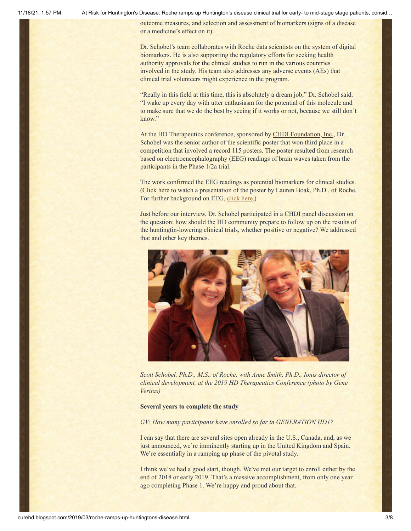outcome measures, and selection and assessment of biomarkers (signs of a disease or a medicine's effect on it).

Dr. Schobel's team collaborates with Roche data scientists on the system of digital biomarkers. He is also supporting the regulatory efforts for seeking health authority approvals for the clinical studies to run in the various countries involved in the study. His team also addresses any adverse events (AEs) that clinical trial volunteers might experience in the program.

"Really in this field at this time, this is absolutely a dream job," Dr. Schobel said. "I wake up every day with utter enthusiasm for the potential of this molecule and to make sure that we do the best by seeing if it works or not, because we still don't know."

At the HD Therapeutics conference, sponsored by **CHDI Foundation**, Inc., Dr. Schobel was the senior author of the scientific poster that won third place in a competition that involved a record 115 posters. The poster resulted from research based on electroencephalography (EEG) readings of brain waves taken from the participants in the Phase 1/2a trial.

The work confirmed the EEG readings as potential biomarkers for clinical studies. [\(Click here](https://vimeo.com/322498334) to watch a presentation of the poster by Lauren Boak, Ph.D., of Roche. For further background on EEG, [click here](http://curehd.blogspot.com/2015/05/deciphering-signals-from-huntingtons.html).)

Just before our interview, Dr. Schobel participated in a CHDI panel discussion on the question: how should the HD community prepare to follow up on the results of the huntingtin-lowering clinical trials, whether positive or negative? We addressed that and other key themes.



*Scott Schobel, Ph.D., M.S., of Roche, with Anne Smith, Ph.D., Ionis director of clinical development, at the 2019 HD Therapeutics Conference (photo by Gene Veritas)*

#### **Several years to complete the study**

#### *GV: How many participants have enrolled so far in GENERATION HD1?*

I can say that there are several sites open already in the U.S., Canada, and, as we just announced, we're imminently starting up in the United Kingdom and Spain. We're essentially in a ramping up phase of the pivotal study.

I think we've had a good start, though. We've met our target to enroll either by the end of 2018 or early 2019. That's a massive accomplishment, from only one year ago completing Phase 1. We're happy and proud about that.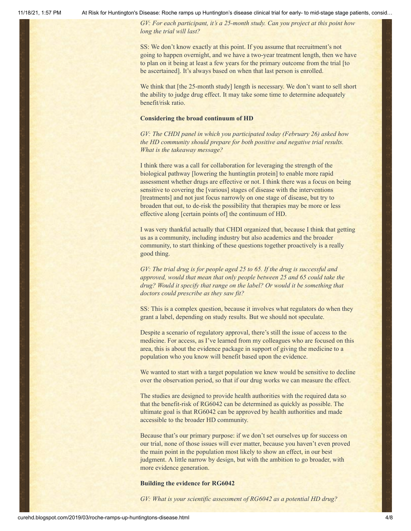*GV: For each participant, it's a 25-month study. Can you project at this point how long the trial will last?*

SS: We don't know exactly at this point. If you assume that recruitment's not going to happen overnight, and we have a two-year treatment length, then we have to plan on it being at least a few years for the primary outcome from the trial [to be ascertained]. It's always based on when that last person is enrolled.

We think that [the 25-month study] length is necessary. We don't want to sell short the ability to judge drug effect. It may take some time to determine adequately benefit/risk ratio.

#### **Considering the broad continuum of HD**

*GV: The CHDI panel in which you participated today (February 26) asked how the HD community should prepare for both positive and negative trial results. What is the takeaway message?*

I think there was a call for collaboration for leveraging the strength of the biological pathway [lowering the huntingtin protein] to enable more rapid assessment whether drugs are effective or not. I think there was a focus on being sensitive to covering the [various] stages of disease with the interventions [treatments] and not just focus narrowly on one stage of disease, but try to broaden that out, to de-risk the possibility that therapies may be more or less effective along [certain points of] the continuum of HD.

I was very thankful actually that CHDI organized that, because I think that getting us as a community, including industry but also academics and the broader community, to start thinking of these questions together proactively is a really good thing.

*GV: The trial drug is for people aged 25 to 65. If the drug is successful and approved, would that mean that only people between 25 and 65 could take the drug? Would it specify that range on the label? Or would it be something that doctors could prescribe as they saw fit?*

SS: This is a complex question, because it involves what regulators do when they grant a label, depending on study results. But we should not speculate.

Despite a scenario of regulatory approval, there's still the issue of access to the medicine. For access, as I've learned from my colleagues who are focused on this area, this is about the evidence package in support of giving the medicine to a population who you know will benefit based upon the evidence.

We wanted to start with a target population we knew would be sensitive to decline over the observation period, so that if our drug works we can measure the effect.

The studies are designed to provide health authorities with the required data so that the benefit-risk of RG6042 can be determined as quickly as possible. The ultimate goal is that RG6042 can be approved by health authorities and made accessible to the broader HD community.

Because that's our primary purpose: if we don't set ourselves up for success on our trial, none of those issues will ever matter, because you haven't even proved the main point in the population most likely to show an effect, in our best judgment. A little narrow by design, but with the ambition to go broader, with more evidence generation.

#### **Building the evidence for RG6042**

*GV: What is your scientific assessment of RG6042 as a potential HD drug?*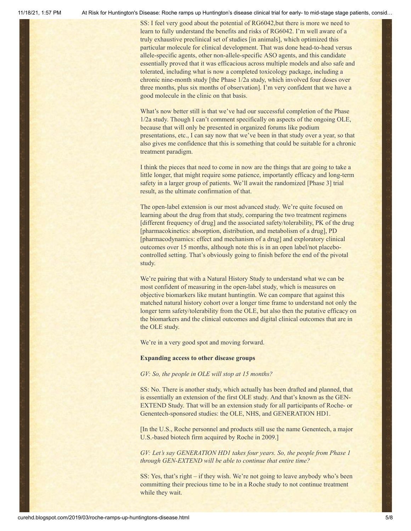SS: I feel very good about the potential of RG6042,but there is more we need to learn to fully understand the benefits and risks of RG6042. I'm well aware of a truly exhaustive preclinical set of studies [in animals], which optimized this particular molecule for clinical development. That was done head-to-head versus allele-specific agents, other non-allele-specific ASO agents, and this candidate essentially proved that it was efficacious across multiple models and also safe and tolerated, including what is now a completed toxicology package, including a chronic nine-month study [the Phase 1/2a study, which involved four doses over three months, plus six months of observation]. I'm very confident that we have a good molecule in the clinic on that basis.

What's now better still is that we've had our successful completion of the Phase 1/2a study. Though I can't comment specifically on aspects of the ongoing OLE, because that will only be presented in organized forums like podium presentations, etc., I can say now that we've been in that study over a year, so that also gives me confidence that this is something that could be suitable for a chronic treatment paradigm.

I think the pieces that need to come in now are the things that are going to take a little longer, that might require some patience, importantly efficacy and long-term safety in a larger group of patients. We'll await the randomized [Phase 3] trial result, as the ultimate confirmation of that.

The open-label extension is our most advanced study. We're quite focused on learning about the drug from that study, comparing the two treatment regimens [different frequency of drug] and the associated safety/tolerability, PK of the drug [pharmacokinetics: absorption, distribution, and metabolism of a drug], PD [pharmacodynamics: effect and mechanism of a drug] and exploratory clinical outcomes over 15 months, although note this is in an open label/not placebocontrolled setting. That's obviously going to finish before the end of the pivotal study.

We're pairing that with a Natural History Study to understand what we can be most confident of measuring in the open-label study, which is measures on objective biomarkers like mutant huntingtin. We can compare that against this matched natural history cohort over a longer time frame to understand not only the longer term safety/tolerability from the OLE, but also then the putative efficacy on the biomarkers and the clinical outcomes and digital clinical outcomes that are in the OLE study.

We're in a very good spot and moving forward.

#### **Expanding access to other disease groups**

*GV: So, the people in OLE will stop at 15 months?*

SS: No. There is another study, which actually has been drafted and planned, that is essentially an extension of the first OLE study. And that's known as the GEN-EXTEND Study. That will be an extension study for all participants of Roche- or Genentech-sponsored studies: the OLE, NHS, and GENERATION HD1.

[In the U.S., Roche personnel and products still use the name Genentech, a major U.S.-based biotech firm acquired by Roche in 2009.]

*GV: Let's say GENERATION HD1 takes four years. So, the people from Phase 1 through GEN-EXTEND will be able to continue that entire time?*

SS: Yes, that's right – if they wish. We're not going to leave anybody who's been committing their precious time to be in a Roche study to not continue treatment while they wait.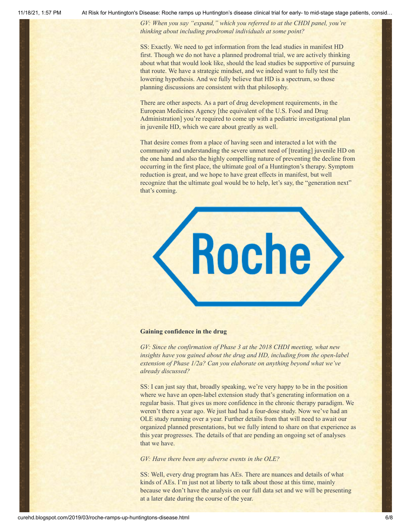*GV: When you say "expand," which you referred to at the CHDI panel, you're thinking about including prodromal individuals at some point?*

SS: Exactly. We need to get information from the lead studies in manifest HD first. Though we do not have a planned prodromal trial, we are actively thinking about what that would look like, should the lead studies be supportive of pursuing that route. We have a strategic mindset, and we indeed want to fully test the lowering hypothesis. And we fully believe that HD is a spectrum, so those planning discussions are consistent with that philosophy.

There are other aspects. As a part of drug development requirements, in the European Medicines Agency [the equivalent of the U.S. Food and Drug Administration] you're required to come up with a pediatric investigational plan in juvenile HD, which we care about greatly as well.

That desire comes from a place of having seen and interacted a lot with the community and understanding the severe unmet need of [treating] juvenile HD on the one hand and also the highly compelling nature of preventing the decline from occurring in the first place, the ultimate goal of a Huntington's therapy. Symptom reduction is great, and we hope to have great effects in manifest, but well recognize that the ultimate goal would be to help, let's say, the "generation next" that's coming.



#### **Gaining confidence in the drug**

*GV: Since the confirmation of Phase 3 at the 2018 CHDI meeting, what new insights have you gained about the drug and HD, including from the open-label extension of Phase 1/2a? Can you elaborate on anything beyond what we've already discussed?*

SS: I can just say that, broadly speaking, we're very happy to be in the position where we have an open-label extension study that's generating information on a regular basis. That gives us more confidence in the chronic therapy paradigm. We weren't there a year ago. We just had had a four-dose study. Now we've had an OLE study running over a year. Further details from that will need to await our organized planned presentations, but we fully intend to share on that experience as this year progresses. The details of that are pending an ongoing set of analyses that we have.

#### *GV: Have there been any adverse events in the OLE?*

SS: Well, every drug program has AEs. There are nuances and details of what kinds of AEs. I'm just not at liberty to talk about those at this time, mainly because we don't have the analysis on our full data set and we will be presenting at a later date during the course of the year.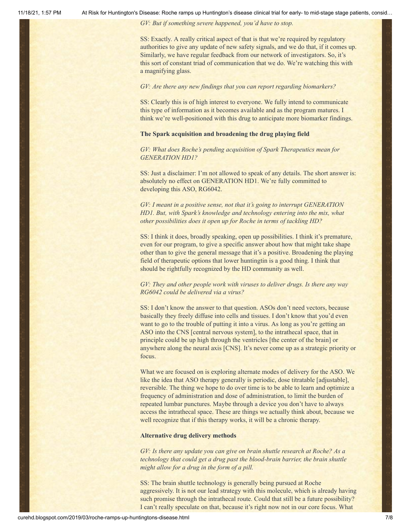*GV: But if something severe happened, you'd have to stop.*

SS: Exactly. A really critical aspect of that is that we're required by regulatory authorities to give any update of new safety signals, and we do that, if it comes up. Similarly, we have regular feedback from our network of investigators. So, it's this sort of constant triad of communication that we do. We're watching this with a magnifying glass.

#### *GV: Are there any new findings that you can report regarding biomarkers?*

SS: Clearly this is of high interest to everyone. We fully intend to communicate this type of information as it becomes available and as the program matures. I think we're well-positioned with this drug to anticipate more biomarker findings.

#### **The Spark acquisition and broadening the drug playing field**

*GV: What does Roche's pending acquisition of Spark Therapeutics mean for GENERATION HD1?*

SS: Just a disclaimer: I'm not allowed to speak of any details. The short answer is: absolutely no effect on GENERATION HD1. We're fully committed to developing this ASO, RG6042.

*GV: I meant in a positive sense, not that it's going to interrupt GENERATION HD1. But, with Spark's knowledge and technology entering into the mix, what other possibilities does it open up for Roche in terms of tackling HD?*

SS: I think it does, broadly speaking, open up possibilities. I think it's premature, even for our program, to give a specific answer about how that might take shape other than to give the general message that it's a positive. Broadening the playing field of therapeutic options that lower huntingtin is a good thing. I think that should be rightfully recognized by the HD community as well.

#### *GV: They and other people work with viruses to deliver drugs. Is there any way RG6042 could be delivered via a virus?*

SS: I don't know the answer to that question. ASOs don't need vectors, because basically they freely diffuse into cells and tissues. I don't know that you'd even want to go to the trouble of putting it into a virus. As long as you're getting an ASO into the CNS [central nervous system], to the intrathecal space, that in principle could be up high through the ventricles [the center of the brain] or anywhere along the neural axis [CNS]. It's never come up as a strategic priority or focus.

What we are focused on is exploring alternate modes of delivery for the ASO. We like the idea that ASO therapy generally is periodic, dose titratable [adjustable], reversible. The thing we hope to do over time is to be able to learn and optimize a frequency of administration and dose of administration, to limit the burden of repeated lumbar punctures. Maybe through a device you don't have to always access the intrathecal space. These are things we actually think about, because we well recognize that if this therapy works, it will be a chronic therapy.

#### **Alternative drug delivery methods**

*GV: Is there any update you can give on brain shuttle research at Roche? As a technology that could get a drug past the blood-brain barrier, the brain shuttle might allow for a drug in the form of a pill.*

SS: The brain shuttle technology is generally being pursued at Roche aggressively. It is not our lead strategy with this molecule, which is already having such promise through the intrathecal route. Could that still be a future possibility? I can't really speculate on that, because it's right now not in our core focus. What